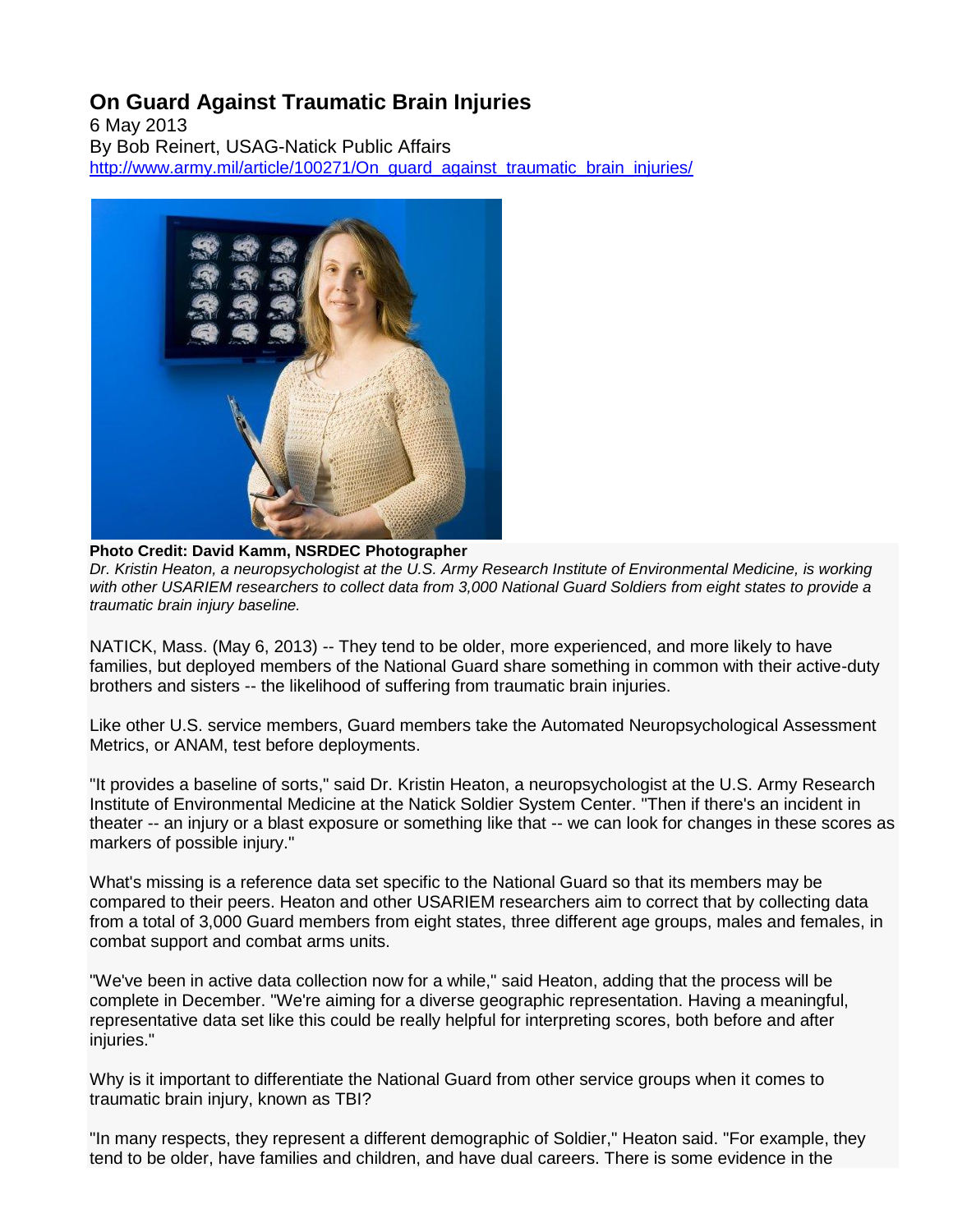## **On Guard Against Traumatic Brain Injuries**

6 May 2013 By Bob Reinert, USAG-Natick Public Affairs http://www.army.mil/article/100271/On\_quard\_against\_traumatic\_brain\_injuries/



**Photo Credit: David Kamm, NSRDEC Photographer** *Dr. Kristin Heaton, a neuropsychologist at the U.S. Army Research Institute of Environmental Medicine, is working with other USARIEM researchers to collect data from 3,000 National Guard Soldiers from eight states to provide a traumatic brain injury baseline.*

NATICK, Mass. (May 6, 2013) -- They tend to be older, more experienced, and more likely to have families, but deployed members of the National Guard share something in common with their active-duty brothers and sisters -- the likelihood of suffering from traumatic brain injuries.

Like other U.S. service members, Guard members take the Automated Neuropsychological Assessment Metrics, or ANAM, test before deployments.

"It provides a baseline of sorts," said Dr. Kristin Heaton, a neuropsychologist at the U.S. Army Research Institute of Environmental Medicine at the Natick Soldier System Center. "Then if there's an incident in theater -- an injury or a blast exposure or something like that -- we can look for changes in these scores as markers of possible injury."

What's missing is a reference data set specific to the National Guard so that its members may be compared to their peers. Heaton and other USARIEM researchers aim to correct that by collecting data from a total of 3,000 Guard members from eight states, three different age groups, males and females, in combat support and combat arms units.

"We've been in active data collection now for a while," said Heaton, adding that the process will be complete in December. "We're aiming for a diverse geographic representation. Having a meaningful, representative data set like this could be really helpful for interpreting scores, both before and after injuries."

Why is it important to differentiate the National Guard from other service groups when it comes to traumatic brain injury, known as TBI?

"In many respects, they represent a different demographic of Soldier," Heaton said. "For example, they tend to be older, have families and children, and have dual careers. There is some evidence in the